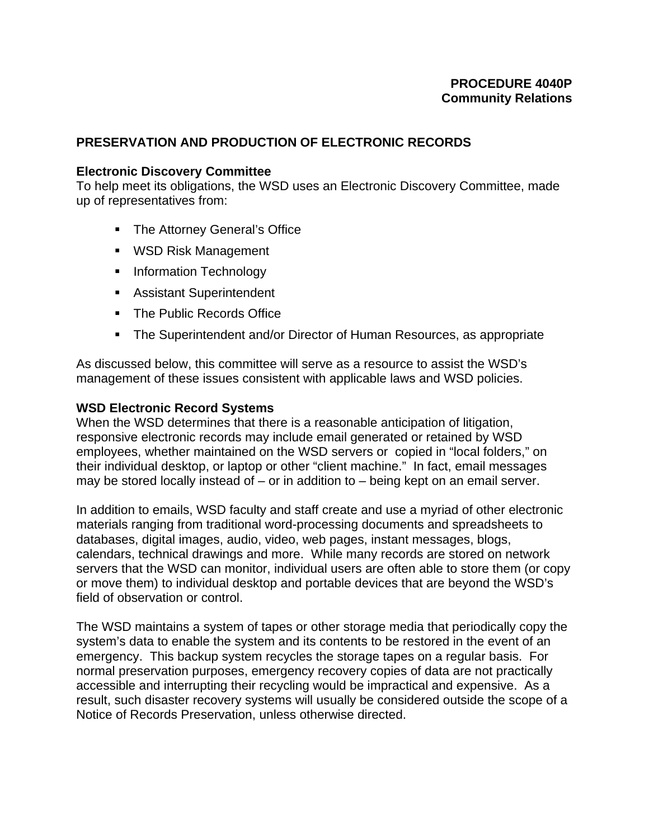## **PROCEDURE 4040P Community Relations**

### **PRESERVATION AND PRODUCTION OF ELECTRONIC RECORDS**

#### **Electronic Discovery Committee**

To help meet its obligations, the WSD uses an Electronic Discovery Committee, made up of representatives from:

- **The Attorney General's Office**
- **WSD Risk Management**
- **Information Technology**
- Assistant Superintendent
- **The Public Records Office**
- The Superintendent and/or Director of Human Resources, as appropriate

As discussed below, this committee will serve as a resource to assist the WSD's management of these issues consistent with applicable laws and WSD policies.

#### **WSD Electronic Record Systems**

When the WSD determines that there is a reasonable anticipation of litigation, responsive electronic records may include email generated or retained by WSD employees, whether maintained on the WSD servers or copied in "local folders," on their individual desktop, or laptop or other "client machine." In fact, email messages may be stored locally instead of – or in addition to – being kept on an email server.

In addition to emails, WSD faculty and staff create and use a myriad of other electronic materials ranging from traditional word-processing documents and spreadsheets to databases, digital images, audio, video, web pages, instant messages, blogs, calendars, technical drawings and more. While many records are stored on network servers that the WSD can monitor, individual users are often able to store them (or copy or move them) to individual desktop and portable devices that are beyond the WSD's field of observation or control.

The WSD maintains a system of tapes or other storage media that periodically copy the system's data to enable the system and its contents to be restored in the event of an emergency. This backup system recycles the storage tapes on a regular basis. For normal preservation purposes, emergency recovery copies of data are not practically accessible and interrupting their recycling would be impractical and expensive. As a result, such disaster recovery systems will usually be considered outside the scope of a Notice of Records Preservation, unless otherwise directed.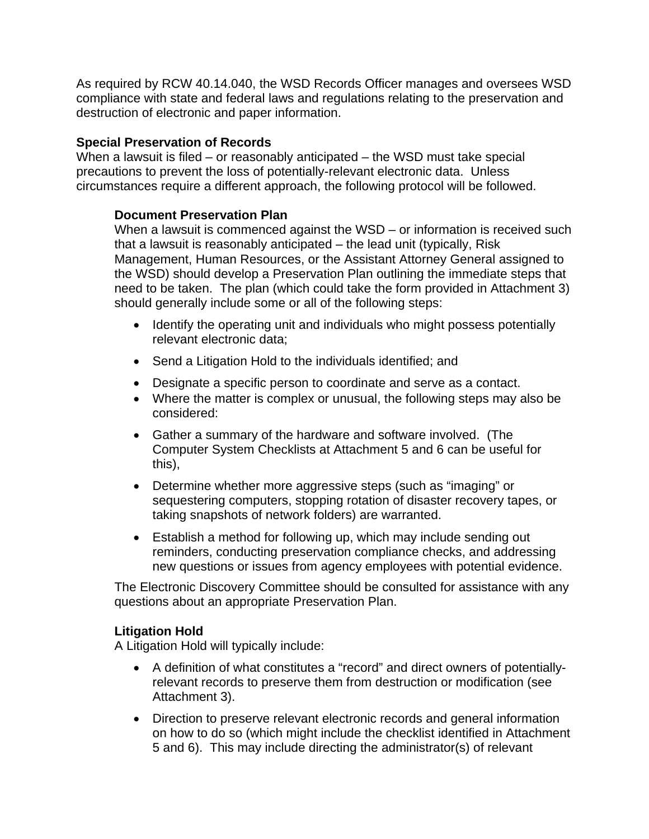As required by RCW 40.14.040, the WSD Records Officer manages and oversees WSD compliance with state and federal laws and regulations relating to the preservation and destruction of electronic and paper information.

## **Special Preservation of Records**

When a lawsuit is filed – or reasonably anticipated – the WSD must take special precautions to prevent the loss of potentially-relevant electronic data. Unless circumstances require a different approach, the following protocol will be followed.

# **Document Preservation Plan**

When a lawsuit is commenced against the WSD – or information is received such that a lawsuit is reasonably anticipated – the lead unit (typically, Risk Management, Human Resources, or the Assistant Attorney General assigned to the WSD) should develop a Preservation Plan outlining the immediate steps that need to be taken. The plan (which could take the form provided in Attachment 3) should generally include some or all of the following steps:

- Identify the operating unit and individuals who might possess potentially relevant electronic data;
- Send a Litigation Hold to the individuals identified; and
- Designate a specific person to coordinate and serve as a contact.
- Where the matter is complex or unusual, the following steps may also be considered:
- Gather a summary of the hardware and software involved. (The Computer System Checklists at Attachment 5 and 6 can be useful for this),
- Determine whether more aggressive steps (such as "imaging" or sequestering computers, stopping rotation of disaster recovery tapes, or taking snapshots of network folders) are warranted.
- Establish a method for following up, which may include sending out reminders, conducting preservation compliance checks, and addressing new questions or issues from agency employees with potential evidence.

The Electronic Discovery Committee should be consulted for assistance with any questions about an appropriate Preservation Plan.

# **Litigation Hold**

A Litigation Hold will typically include:

- A definition of what constitutes a "record" and direct owners of potentiallyrelevant records to preserve them from destruction or modification (see Attachment 3).
- Direction to preserve relevant electronic records and general information on how to do so (which might include the checklist identified in Attachment 5 and 6). This may include directing the administrator(s) of relevant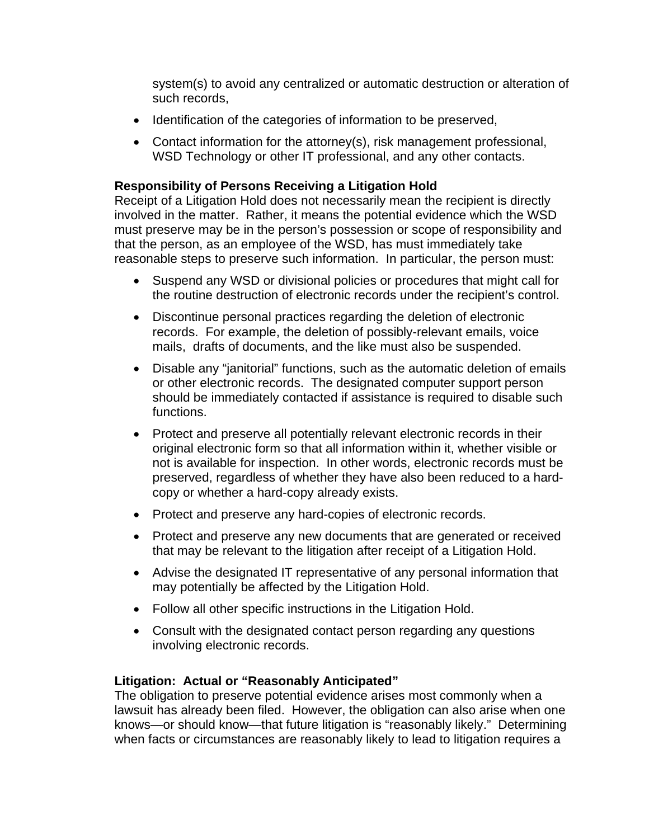system(s) to avoid any centralized or automatic destruction or alteration of such records,

- Identification of the categories of information to be preserved,
- Contact information for the attorney(s), risk management professional, WSD Technology or other IT professional, and any other contacts.

## **Responsibility of Persons Receiving a Litigation Hold**

Receipt of a Litigation Hold does not necessarily mean the recipient is directly involved in the matter. Rather, it means the potential evidence which the WSD must preserve may be in the person's possession or scope of responsibility and that the person, as an employee of the WSD, has must immediately take reasonable steps to preserve such information. In particular, the person must:

- Suspend any WSD or divisional policies or procedures that might call for the routine destruction of electronic records under the recipient's control.
- Discontinue personal practices regarding the deletion of electronic records. For example, the deletion of possibly-relevant emails, voice mails, drafts of documents, and the like must also be suspended.
- Disable any "janitorial" functions, such as the automatic deletion of emails or other electronic records. The designated computer support person should be immediately contacted if assistance is required to disable such functions.
- Protect and preserve all potentially relevant electronic records in their original electronic form so that all information within it, whether visible or not is available for inspection. In other words, electronic records must be preserved, regardless of whether they have also been reduced to a hardcopy or whether a hard-copy already exists.
- Protect and preserve any hard-copies of electronic records.
- Protect and preserve any new documents that are generated or received that may be relevant to the litigation after receipt of a Litigation Hold.
- Advise the designated IT representative of any personal information that may potentially be affected by the Litigation Hold.
- Follow all other specific instructions in the Litigation Hold.
- Consult with the designated contact person regarding any questions involving electronic records.

# **Litigation: Actual or "Reasonably Anticipated"**

The obligation to preserve potential evidence arises most commonly when a lawsuit has already been filed. However, the obligation can also arise when one knows—or should know—that future litigation is "reasonably likely." Determining when facts or circumstances are reasonably likely to lead to litigation requires a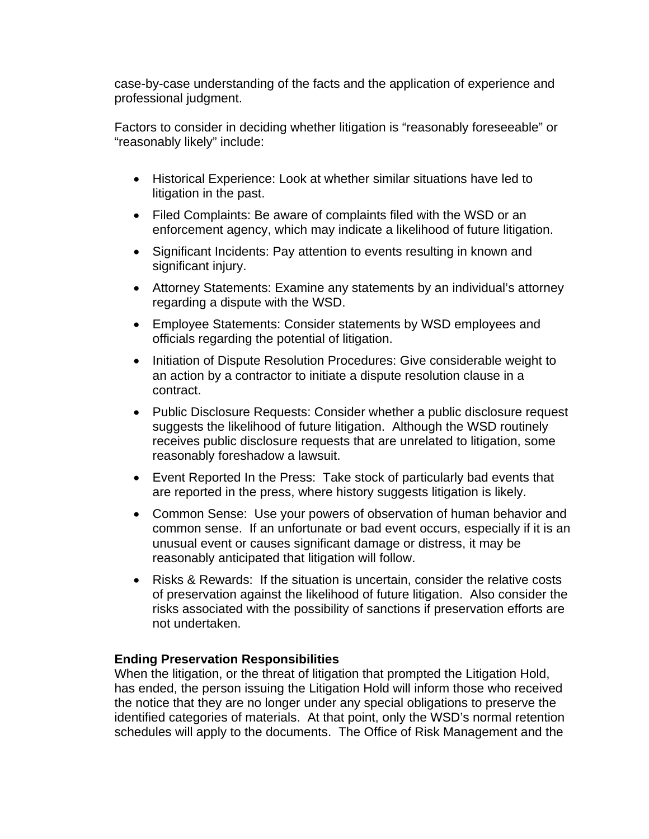case-by-case understanding of the facts and the application of experience and professional judgment.

Factors to consider in deciding whether litigation is "reasonably foreseeable" or "reasonably likely" include:

- Historical Experience: Look at whether similar situations have led to litigation in the past.
- Filed Complaints: Be aware of complaints filed with the WSD or an enforcement agency, which may indicate a likelihood of future litigation.
- Significant Incidents: Pay attention to events resulting in known and significant injury.
- Attorney Statements: Examine any statements by an individual's attorney regarding a dispute with the WSD.
- Employee Statements: Consider statements by WSD employees and officials regarding the potential of litigation.
- Initiation of Dispute Resolution Procedures: Give considerable weight to an action by a contractor to initiate a dispute resolution clause in a contract.
- Public Disclosure Requests: Consider whether a public disclosure request suggests the likelihood of future litigation. Although the WSD routinely receives public disclosure requests that are unrelated to litigation, some reasonably foreshadow a lawsuit.
- Event Reported In the Press: Take stock of particularly bad events that are reported in the press, where history suggests litigation is likely.
- Common Sense: Use your powers of observation of human behavior and common sense. If an unfortunate or bad event occurs, especially if it is an unusual event or causes significant damage or distress, it may be reasonably anticipated that litigation will follow.
- Risks & Rewards: If the situation is uncertain, consider the relative costs of preservation against the likelihood of future litigation. Also consider the risks associated with the possibility of sanctions if preservation efforts are not undertaken.

### **Ending Preservation Responsibilities**

When the litigation, or the threat of litigation that prompted the Litigation Hold, has ended, the person issuing the Litigation Hold will inform those who received the notice that they are no longer under any special obligations to preserve the identified categories of materials. At that point, only the WSD's normal retention schedules will apply to the documents. The Office of Risk Management and the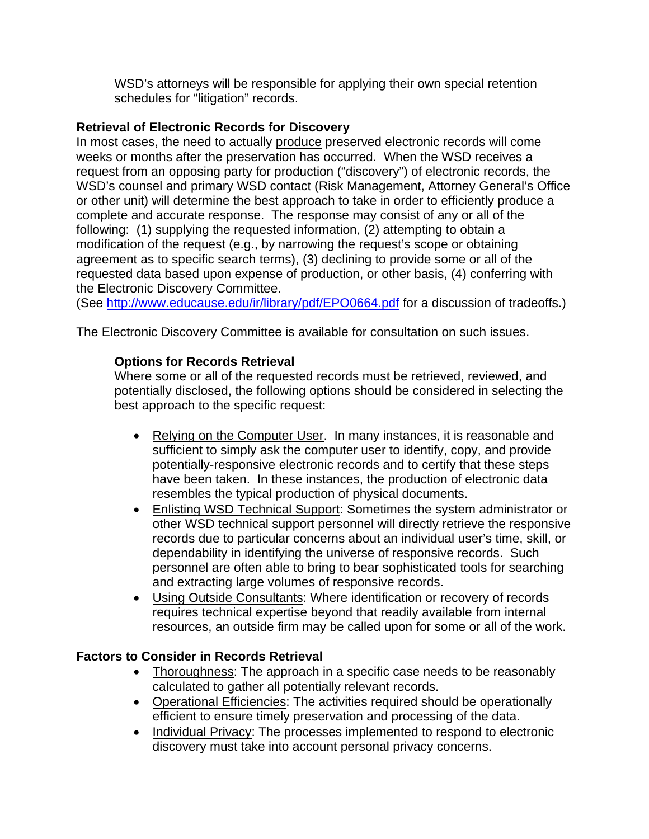WSD's attorneys will be responsible for applying their own special retention schedules for "litigation" records.

# **Retrieval of Electronic Records for Discovery**

In most cases, the need to actually produce preserved electronic records will come weeks or months after the preservation has occurred. When the WSD receives a request from an opposing party for production ("discovery") of electronic records, the WSD's counsel and primary WSD contact (Risk Management, Attorney General's Office or other unit) will determine the best approach to take in order to efficiently produce a complete and accurate response. The response may consist of any or all of the following: (1) supplying the requested information, (2) attempting to obtain a modification of the request (e.g., by narrowing the request's scope or obtaining agreement as to specific search terms), (3) declining to provide some or all of the requested data based upon expense of production, or other basis, (4) conferring with the Electronic Discovery Committee.

(See http://www.educause.edu/ir/library/pdf/EPO0664.pdf for a discussion of tradeoffs.)

The Electronic Discovery Committee is available for consultation on such issues.

# **Options for Records Retrieval**

Where some or all of the requested records must be retrieved, reviewed, and potentially disclosed, the following options should be considered in selecting the best approach to the specific request:

- Relying on the Computer User. In many instances, it is reasonable and sufficient to simply ask the computer user to identify, copy, and provide potentially-responsive electronic records and to certify that these steps have been taken. In these instances, the production of electronic data resembles the typical production of physical documents.
- Enlisting WSD Technical Support: Sometimes the system administrator or other WSD technical support personnel will directly retrieve the responsive records due to particular concerns about an individual user's time, skill, or dependability in identifying the universe of responsive records. Such personnel are often able to bring to bear sophisticated tools for searching and extracting large volumes of responsive records.
- Using Outside Consultants: Where identification or recovery of records requires technical expertise beyond that readily available from internal resources, an outside firm may be called upon for some or all of the work.

# **Factors to Consider in Records Retrieval**

- Thoroughness: The approach in a specific case needs to be reasonably calculated to gather all potentially relevant records.
- Operational Efficiencies: The activities required should be operationally efficient to ensure timely preservation and processing of the data.
- Individual Privacy: The processes implemented to respond to electronic discovery must take into account personal privacy concerns.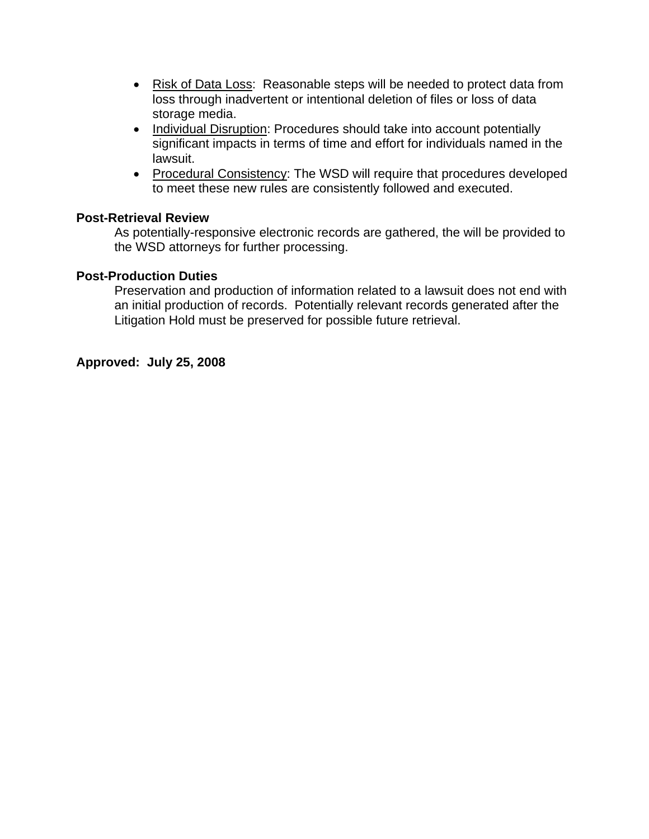- Risk of Data Loss: Reasonable steps will be needed to protect data from loss through inadvertent or intentional deletion of files or loss of data storage media.
- Individual Disruption: Procedures should take into account potentially significant impacts in terms of time and effort for individuals named in the lawsuit.
- Procedural Consistency: The WSD will require that procedures developed to meet these new rules are consistently followed and executed.

# **Post-Retrieval Review**

As potentially-responsive electronic records are gathered, the will be provided to the WSD attorneys for further processing.

#### **Post-Production Duties**

Preservation and production of information related to a lawsuit does not end with an initial production of records. Potentially relevant records generated after the Litigation Hold must be preserved for possible future retrieval.

### **Approved: July 25, 2008**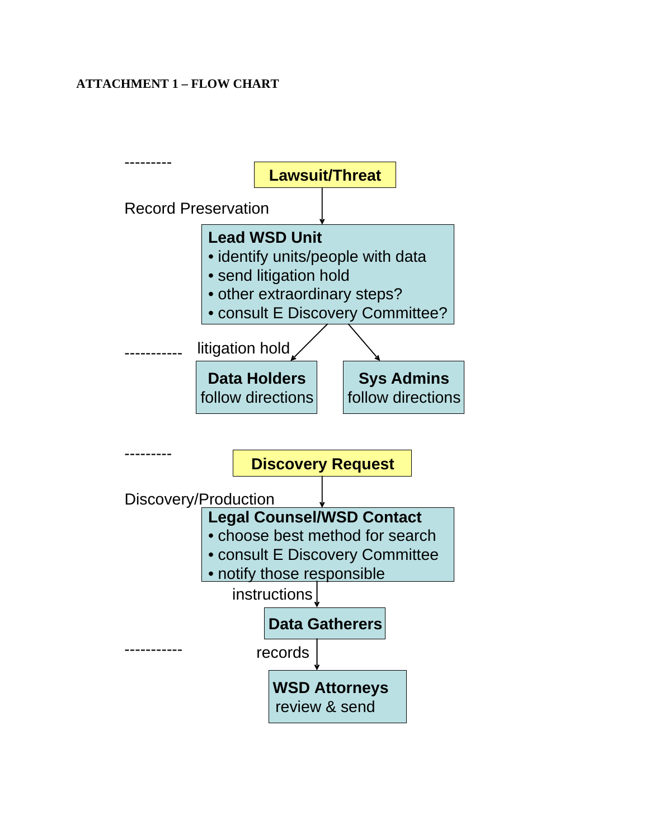# **ATTACHMENT 1 – FLOW CHART**

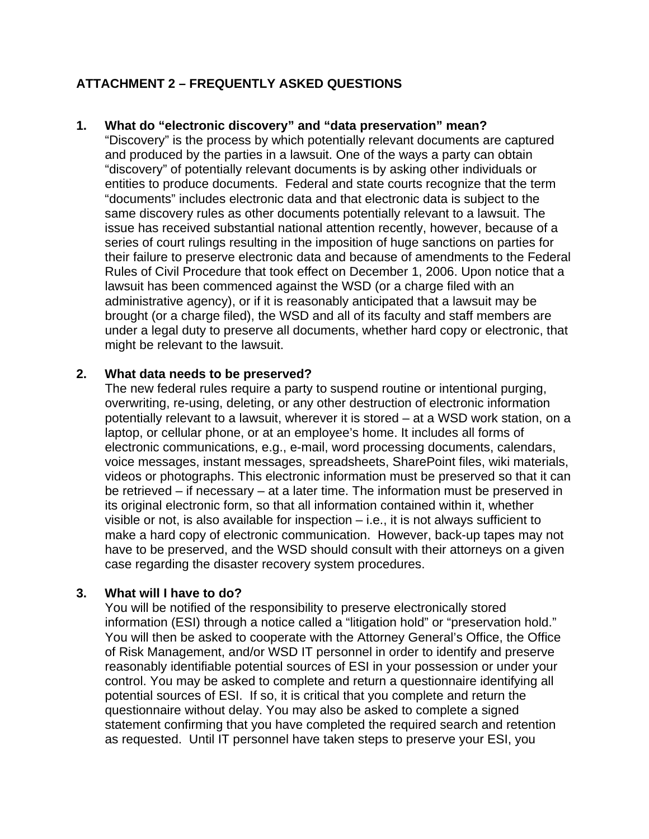# **ATTACHMENT 2 – FREQUENTLY ASKED QUESTIONS**

### **1. What do "electronic discovery" and "data preservation" mean?**

"Discovery" is the process by which potentially relevant documents are captured and produced by the parties in a lawsuit. One of the ways a party can obtain "discovery" of potentially relevant documents is by asking other individuals or entities to produce documents. Federal and state courts recognize that the term "documents" includes electronic data and that electronic data is subject to the same discovery rules as other documents potentially relevant to a lawsuit. The issue has received substantial national attention recently, however, because of a series of court rulings resulting in the imposition of huge sanctions on parties for their failure to preserve electronic data and because of amendments to the Federal Rules of Civil Procedure that took effect on December 1, 2006. Upon notice that a lawsuit has been commenced against the WSD (or a charge filed with an administrative agency), or if it is reasonably anticipated that a lawsuit may be brought (or a charge filed), the WSD and all of its faculty and staff members are under a legal duty to preserve all documents, whether hard copy or electronic, that might be relevant to the lawsuit.

#### **2. What data needs to be preserved?**

The new federal rules require a party to suspend routine or intentional purging, overwriting, re-using, deleting, or any other destruction of electronic information potentially relevant to a lawsuit, wherever it is stored – at a WSD work station, on a laptop, or cellular phone, or at an employee's home. It includes all forms of electronic communications, e.g., e-mail, word processing documents, calendars, voice messages, instant messages, spreadsheets, SharePoint files, wiki materials, videos or photographs. This electronic information must be preserved so that it can be retrieved – if necessary – at a later time. The information must be preserved in its original electronic form, so that all information contained within it, whether visible or not, is also available for inspection – i.e., it is not always sufficient to make a hard copy of electronic communication. However, back-up tapes may not have to be preserved, and the WSD should consult with their attorneys on a given case regarding the disaster recovery system procedures.

### **3. What will I have to do?**

You will be notified of the responsibility to preserve electronically stored information (ESI) through a notice called a "litigation hold" or "preservation hold." You will then be asked to cooperate with the Attorney General's Office, the Office of Risk Management, and/or WSD IT personnel in order to identify and preserve reasonably identifiable potential sources of ESI in your possession or under your control. You may be asked to complete and return a questionnaire identifying all potential sources of ESI. If so, it is critical that you complete and return the questionnaire without delay. You may also be asked to complete a signed statement confirming that you have completed the required search and retention as requested. Until IT personnel have taken steps to preserve your ESI, you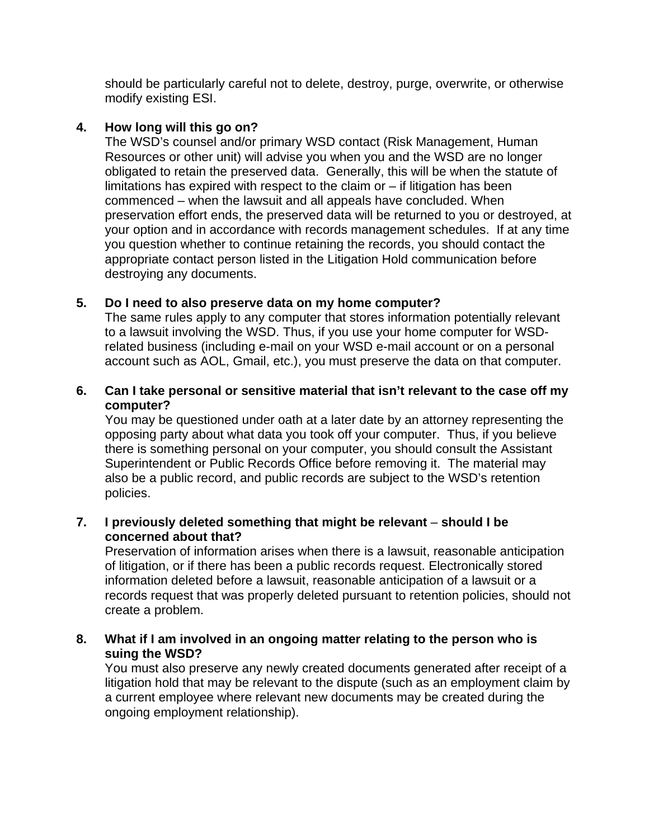should be particularly careful not to delete, destroy, purge, overwrite, or otherwise modify existing ESI.

## **4. How long will this go on?**

The WSD's counsel and/or primary WSD contact (Risk Management, Human Resources or other unit) will advise you when you and the WSD are no longer obligated to retain the preserved data. Generally, this will be when the statute of limitations has expired with respect to the claim or – if litigation has been commenced – when the lawsuit and all appeals have concluded. When preservation effort ends, the preserved data will be returned to you or destroyed, at your option and in accordance with records management schedules. If at any time you question whether to continue retaining the records, you should contact the appropriate contact person listed in the Litigation Hold communication before destroying any documents.

## **5. Do I need to also preserve data on my home computer?**

The same rules apply to any computer that stores information potentially relevant to a lawsuit involving the WSD. Thus, if you use your home computer for WSDrelated business (including e-mail on your WSD e-mail account or on a personal account such as AOL, Gmail, etc.), you must preserve the data on that computer.

## **6. Can I take personal or sensitive material that isn't relevant to the case off my computer?**

You may be questioned under oath at a later date by an attorney representing the opposing party about what data you took off your computer. Thus, if you believe there is something personal on your computer, you should consult the Assistant Superintendent or Public Records Office before removing it. The material may also be a public record, and public records are subject to the WSD's retention policies.

## **7. I previously deleted something that might be relevant** – **should I be concerned about that?**

Preservation of information arises when there is a lawsuit, reasonable anticipation of litigation, or if there has been a public records request. Electronically stored information deleted before a lawsuit, reasonable anticipation of a lawsuit or a records request that was properly deleted pursuant to retention policies, should not create a problem.

### **8. What if I am involved in an ongoing matter relating to the person who is suing the WSD?**

You must also preserve any newly created documents generated after receipt of a litigation hold that may be relevant to the dispute (such as an employment claim by a current employee where relevant new documents may be created during the ongoing employment relationship).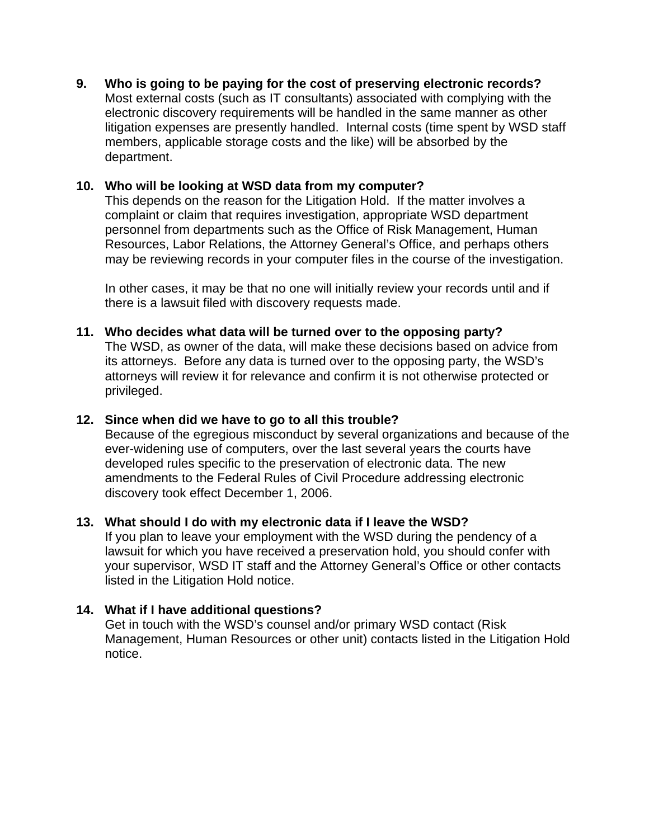**9. Who is going to be paying for the cost of preserving electronic records?**  Most external costs (such as IT consultants) associated with complying with the electronic discovery requirements will be handled in the same manner as other litigation expenses are presently handled. Internal costs (time spent by WSD staff members, applicable storage costs and the like) will be absorbed by the department.

## **10. Who will be looking at WSD data from my computer?**

This depends on the reason for the Litigation Hold. If the matter involves a complaint or claim that requires investigation, appropriate WSD department personnel from departments such as the Office of Risk Management, Human Resources, Labor Relations, the Attorney General's Office, and perhaps others may be reviewing records in your computer files in the course of the investigation.

In other cases, it may be that no one will initially review your records until and if there is a lawsuit filed with discovery requests made.

**11. Who decides what data will be turned over to the opposing party?** 

The WSD, as owner of the data, will make these decisions based on advice from its attorneys. Before any data is turned over to the opposing party, the WSD's attorneys will review it for relevance and confirm it is not otherwise protected or privileged.

### **12. Since when did we have to go to all this trouble?**

Because of the egregious misconduct by several organizations and because of the ever-widening use of computers, over the last several years the courts have developed rules specific to the preservation of electronic data. The new amendments to the Federal Rules of Civil Procedure addressing electronic discovery took effect December 1, 2006.

### **13. What should I do with my electronic data if I leave the WSD?**

If you plan to leave your employment with the WSD during the pendency of a lawsuit for which you have received a preservation hold, you should confer with your supervisor, WSD IT staff and the Attorney General's Office or other contacts listed in the Litigation Hold notice.

### **14. What if I have additional questions?**

Get in touch with the WSD's counsel and/or primary WSD contact (Risk Management, Human Resources or other unit) contacts listed in the Litigation Hold notice.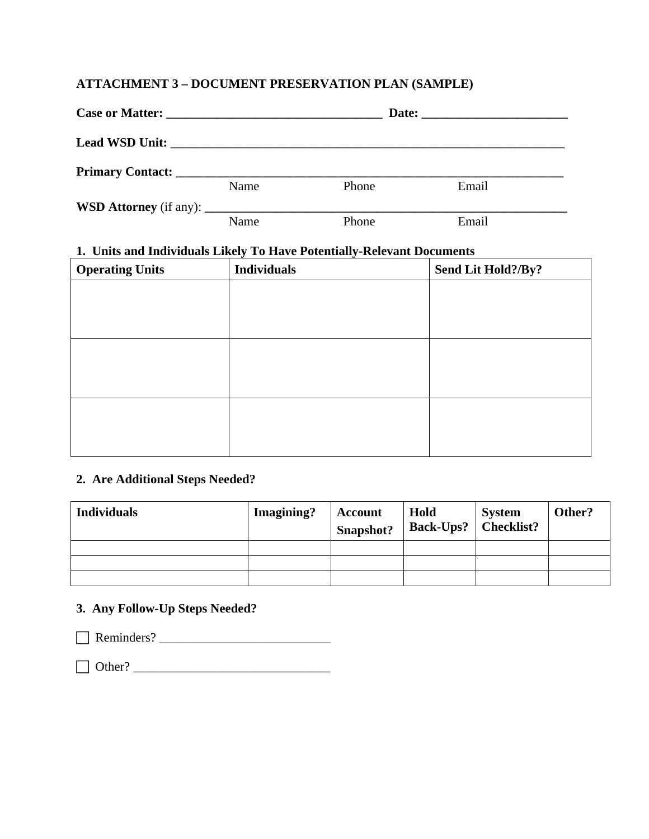# **ATTACHMENT 3 – DOCUMENT PRESERVATION PLAN (SAMPLE)**

| Name | Phone | Email |
|------|-------|-------|
|      |       |       |
| Name | Phone | Email |

#### **1. Units and Individuals Likely To Have Potentially-Relevant Documents**

| <b>Operating Units</b> | <b>Individuals</b> | Send Lit Hold?/By? |
|------------------------|--------------------|--------------------|
|                        |                    |                    |
|                        |                    |                    |
|                        |                    |                    |
|                        |                    |                    |
|                        |                    |                    |
|                        |                    |                    |
|                        |                    |                    |
|                        |                    |                    |
|                        |                    |                    |

### **2. Are Additional Steps Needed?**

| <b>Individuals</b> | Imagining? | Account<br>Snapshot? | Hold<br><b>Back-Ups?</b>   Checklist? | <b>System</b> | Other? |
|--------------------|------------|----------------------|---------------------------------------|---------------|--------|
|                    |            |                      |                                       |               |        |
|                    |            |                      |                                       |               |        |
|                    |            |                      |                                       |               |        |

# **3. Any Follow-Up Steps Needed?**

F Reminders? \_\_\_\_\_\_\_\_\_\_\_\_\_\_\_\_\_\_\_\_\_\_\_\_\_\_\_

F Other? \_\_\_\_\_\_\_\_\_\_\_\_\_\_\_\_\_\_\_\_\_\_\_\_\_\_\_\_\_\_\_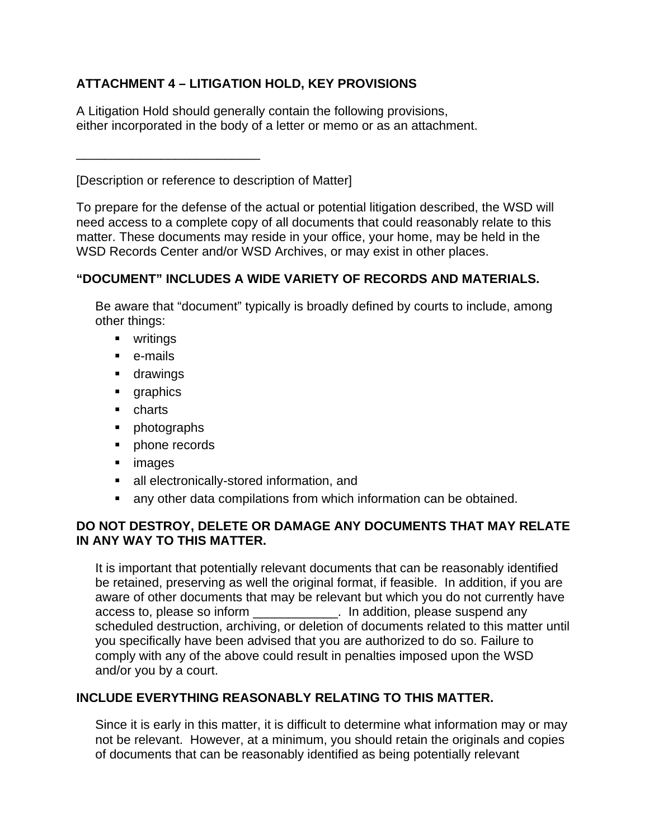# **ATTACHMENT 4 – LITIGATION HOLD, KEY PROVISIONS**

A Litigation Hold should generally contain the following provisions, either incorporated in the body of a letter or memo or as an attachment.

[Description or reference to description of Matter]

\_\_\_\_\_\_\_\_\_\_\_\_\_\_\_\_\_\_\_\_\_\_\_\_\_\_

To prepare for the defense of the actual or potential litigation described, the WSD will need access to a complete copy of all documents that could reasonably relate to this matter. These documents may reside in your office, your home, may be held in the WSD Records Center and/or WSD Archives, or may exist in other places.

# **"DOCUMENT" INCLUDES A WIDE VARIETY OF RECORDS AND MATERIALS.**

Be aware that "document" typically is broadly defined by courts to include, among other things:

- writings
- e-mails
- **u** drawings
- **qraphics**
- **charts**
- photographs
- **•** phone records
- **n** images
- all electronically-stored information, and
- any other data compilations from which information can be obtained.

## **DO NOT DESTROY, DELETE OR DAMAGE ANY DOCUMENTS THAT MAY RELATE IN ANY WAY TO THIS MATTER.**

It is important that potentially relevant documents that can be reasonably identified be retained, preserving as well the original format, if feasible. In addition, if you are aware of other documents that may be relevant but which you do not currently have access to, please so inform \_\_\_\_\_\_\_\_\_\_\_\_. In addition, please suspend any scheduled destruction, archiving, or deletion of documents related to this matter until you specifically have been advised that you are authorized to do so. Failure to comply with any of the above could result in penalties imposed upon the WSD and/or you by a court.

# **INCLUDE EVERYTHING REASONABLY RELATING TO THIS MATTER.**

Since it is early in this matter, it is difficult to determine what information may or may not be relevant. However, at a minimum, you should retain the originals and copies of documents that can be reasonably identified as being potentially relevant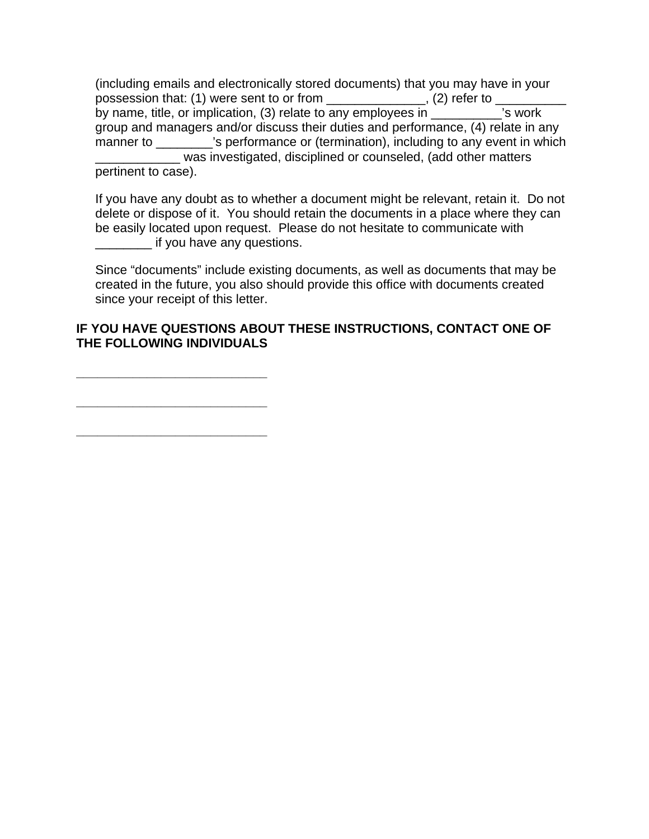(including emails and electronically stored documents) that you may have in your possession that: (1) were sent to or from \_\_\_\_\_\_\_\_\_\_\_\_\_\_\_, (2) refer to \_\_\_ by name, title, or implication, (3) relate to any employees in  $\frac{1}{\sqrt{2}}$  is work group and managers and/or discuss their duties and performance, (4) relate in any manner to \_\_\_\_\_\_\_\_\_'s performance or (termination), including to any event in which was investigated, disciplined or counseled, (add other matters pertinent to case).

If you have any doubt as to whether a document might be relevant, retain it. Do not delete or dispose of it. You should retain the documents in a place where they can be easily located upon request. Please do not hesitate to communicate with **\_\_\_\_\_\_\_\_\_** if you have any questions.

Since "documents" include existing documents, as well as documents that may be created in the future, you also should provide this office with documents created since your receipt of this letter.

## **IF YOU HAVE QUESTIONS ABOUT THESE INSTRUCTIONS, CONTACT ONE OF THE FOLLOWING INDIVIDUALS**

**\_\_\_\_\_\_\_\_\_\_\_\_\_\_\_\_\_\_\_\_\_\_\_\_\_\_\_ \_\_\_\_\_\_\_\_\_\_\_\_\_\_\_\_\_\_\_\_\_\_\_\_\_\_\_** 

**\_\_\_\_\_\_\_\_\_\_\_\_\_\_\_\_\_\_\_\_\_\_\_\_\_\_\_**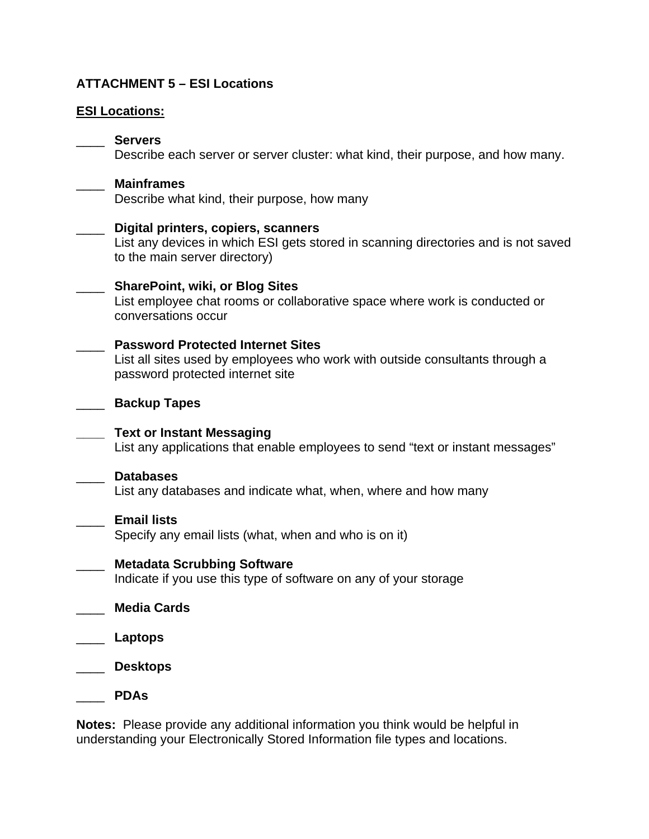## **ATTACHMENT 5 – ESI Locations**

### **ESI Locations:**

#### \_\_\_\_ **Servers**

Describe each server or server cluster: what kind, their purpose, and how many.

# \_\_\_\_ **Mainframes**

Describe what kind, their purpose, how many

#### \_\_\_\_ **Digital printers, copiers, scanners**

List any devices in which ESI gets stored in scanning directories and is not saved to the main server directory)

#### \_\_\_\_ **SharePoint, wiki, or Blog Sites**

List employee chat rooms or collaborative space where work is conducted or conversations occur

#### \_\_\_\_ **Password Protected Internet Sites**

List all sites used by employees who work with outside consultants through a password protected internet site

#### \_\_\_\_ **Backup Tapes**

**\_\_\_\_ Text or Instant Messaging** List any applications that enable employees to send "text or instant messages"

#### \_\_\_\_ **Databases**

List any databases and indicate what, when, where and how many

### \_\_\_\_ **Email lists**

Specify any email lists (what, when and who is on it)

# \_\_\_\_ **Metadata Scrubbing Software** Indicate if you use this type of software on any of your storage

- \_\_\_\_ **Media Cards**
- \_\_\_\_ **Laptops**
- \_\_\_\_ **Desktops**

\_\_\_\_ **PDAs**

**Notes:** Please provide any additional information you think would be helpful in understanding your Electronically Stored Information file types and locations.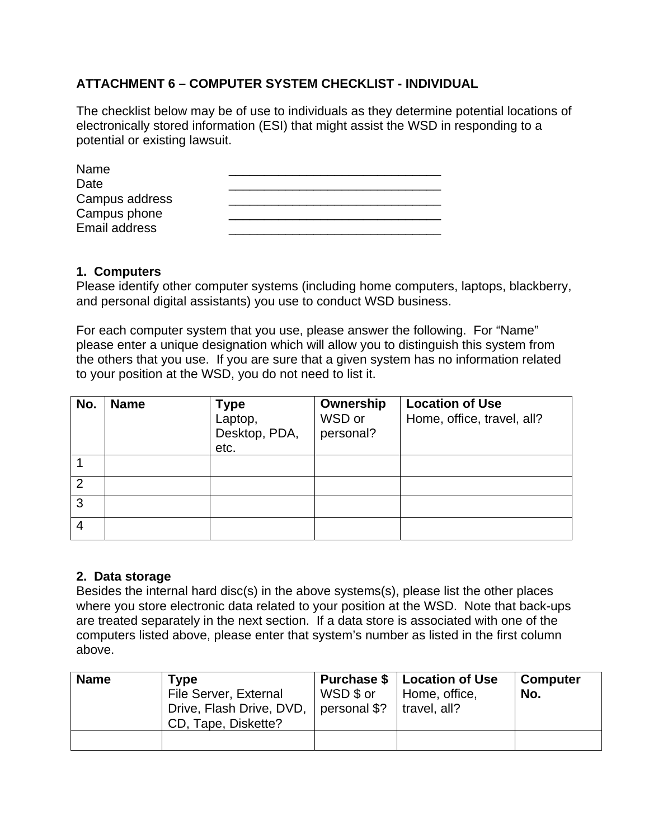# **ATTACHMENT 6 – COMPUTER SYSTEM CHECKLIST - INDIVIDUAL**

The checklist below may be of use to individuals as they determine potential locations of electronically stored information (ESI) that might assist the WSD in responding to a potential or existing lawsuit.

| Name           |  |
|----------------|--|
| Date           |  |
| Campus address |  |
| Campus phone   |  |
| Email address  |  |

#### **1. Computers**

Please identify other computer systems (including home computers, laptops, blackberry, and personal digital assistants) you use to conduct WSD business.

For each computer system that you use, please answer the following. For "Name" please enter a unique designation which will allow you to distinguish this system from the others that you use. If you are sure that a given system has no information related to your position at the WSD, you do not need to list it.

| No.            | <b>Name</b> | <b>Type</b><br>Laptop,<br>Desktop, PDA,<br>etc. | Ownership<br>WSD or<br>personal? | <b>Location of Use</b><br>Home, office, travel, all? |
|----------------|-------------|-------------------------------------------------|----------------------------------|------------------------------------------------------|
|                |             |                                                 |                                  |                                                      |
| $\overline{2}$ |             |                                                 |                                  |                                                      |
| 3              |             |                                                 |                                  |                                                      |
| 4              |             |                                                 |                                  |                                                      |

#### **2. Data storage**

Besides the internal hard disc(s) in the above systems(s), please list the other places where you store electronic data related to your position at the WSD. Note that back-ups are treated separately in the next section. If a data store is associated with one of the computers listed above, please enter that system's number as listed in the first column above.

| <b>Name</b> | <b>Type</b><br>File Server, External<br>Drive, Flash Drive, DVD,<br>CD, Tape, Diskette? | <b>Purchase \$</b><br>WSD \$ or<br>personal \$? | Location of Use<br>Home, office,<br>travel, all? | ∣ Computer<br>' No. |
|-------------|-----------------------------------------------------------------------------------------|-------------------------------------------------|--------------------------------------------------|---------------------|
|             |                                                                                         |                                                 |                                                  |                     |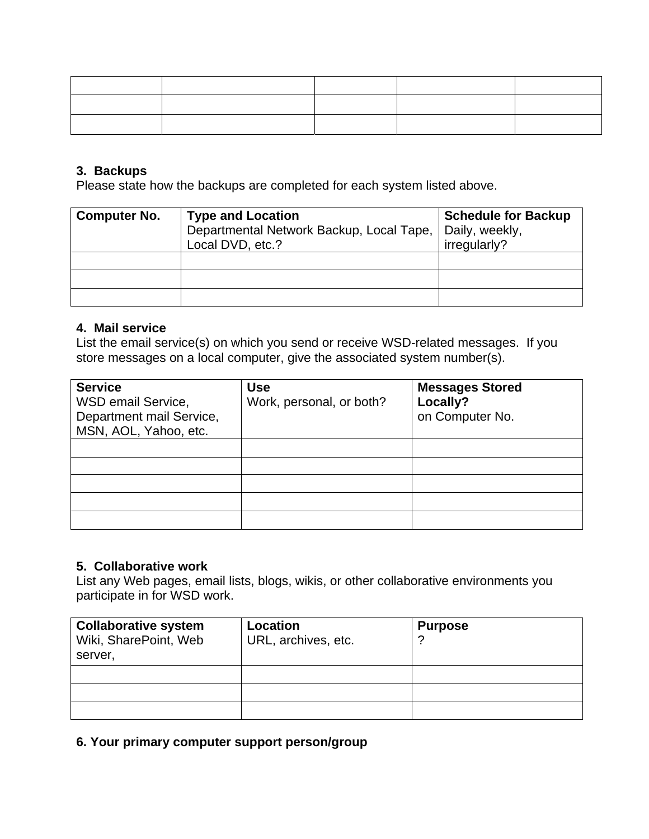### **3. Backups**

Please state how the backups are completed for each system listed above.

| <b>Computer No.</b> | <b>Type and Location</b><br>Departmental Network Backup, Local Tape,   Daily, weekly,<br>Local DVD, etc.? | <b>Schedule for Backup</b><br>irregularly? |
|---------------------|-----------------------------------------------------------------------------------------------------------|--------------------------------------------|
|                     |                                                                                                           |                                            |
|                     |                                                                                                           |                                            |
|                     |                                                                                                           |                                            |

#### **4. Mail service**

List the email service(s) on which you send or receive WSD-related messages. If you store messages on a local computer, give the associated system number(s).

| <b>Service</b><br>WSD email Service,<br>Department mail Service,<br>MSN, AOL, Yahoo, etc. | <b>Use</b><br>Work, personal, or both? | <b>Messages Stored</b><br>Locally?<br>on Computer No. |
|-------------------------------------------------------------------------------------------|----------------------------------------|-------------------------------------------------------|
|                                                                                           |                                        |                                                       |
|                                                                                           |                                        |                                                       |
|                                                                                           |                                        |                                                       |
|                                                                                           |                                        |                                                       |
|                                                                                           |                                        |                                                       |

### **5. Collaborative work**

List any Web pages, email lists, blogs, wikis, or other collaborative environments you participate in for WSD work.

| <b>Collaborative system</b><br>Wiki, SharePoint, Web<br>server, | Location<br>URL, archives, etc. | <b>Purpose</b> |
|-----------------------------------------------------------------|---------------------------------|----------------|
|                                                                 |                                 |                |
|                                                                 |                                 |                |
|                                                                 |                                 |                |

**6. Your primary computer support person/group**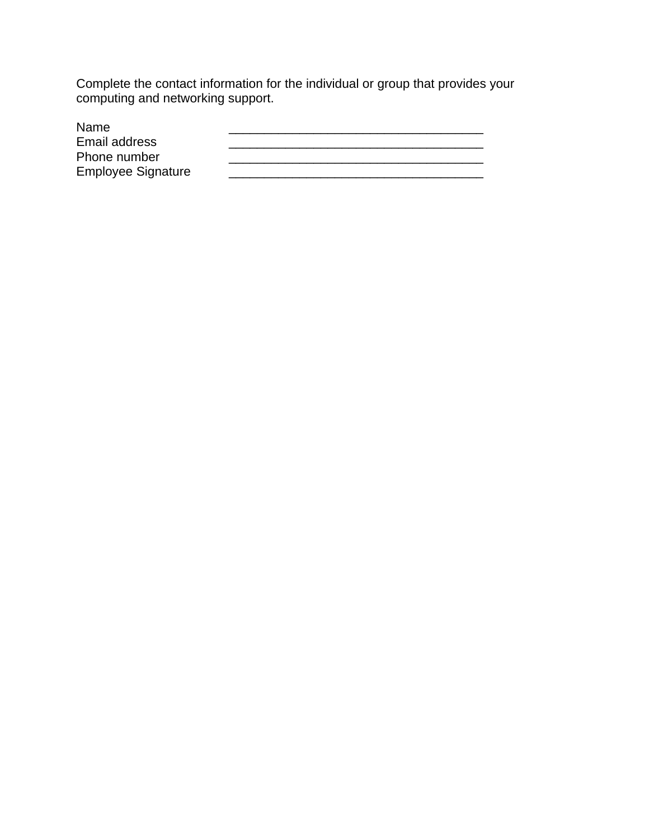Complete the contact information for the individual or group that provides your computing and networking support.

| Name                      |  |
|---------------------------|--|
| Email address             |  |
| Phone number              |  |
| <b>Employee Signature</b> |  |